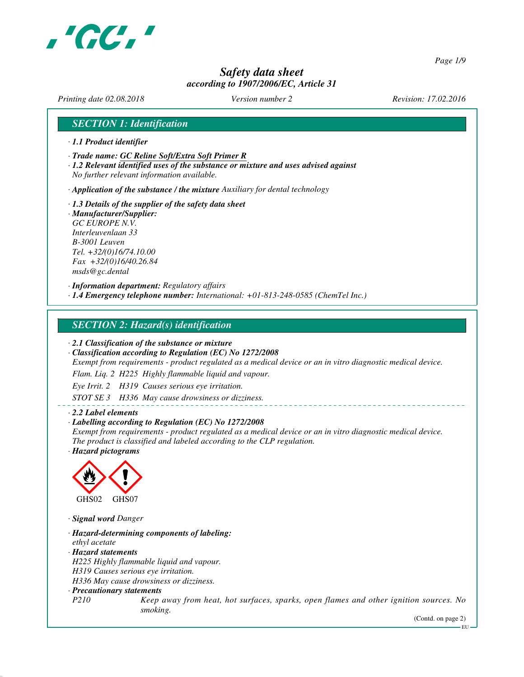

*Page 1/9*

# *Safety data sheet according to 1907/2006/EC, Article 31*

*Printing date 02.08.2018 Version number 2 Revision: 17.02.2016*

# *SECTION 1: Identification*

- *· 1.1 Product identifier*
- *· Trade name: GC Reline Soft/Extra Soft Primer R*
- *· 1.2 Relevant identified uses of the substance or mixture and uses advised against No further relevant information available.*

*· Application of the substance / the mixture Auxiliary for dental technology*

*· 1.3 Details of the supplier of the safety data sheet · Manufacturer/Supplier: GC EUROPE N.V. Interleuvenlaan 33 B-3001 Leuven Tel. +32/(0)16/74.10.00 Fax +32/(0)16/40.26.84 msds@gc.dental*

*· Information department: Regulatory affairs · 1.4 Emergency telephone number: International: +01-813-248-0585 (ChemTel Inc.)*

### *SECTION 2: Hazard(s) identification*

*· 2.1 Classification of the substance or mixture*

*· Classification according to Regulation (EC) No 1272/2008*

*Exempt from requirements - product regulated as a medical device or an in vitro diagnostic medical device.*

*Flam. Liq. 2 H225 Highly flammable liquid and vapour.*

*Eye Irrit. 2 H319 Causes serious eye irritation.*

*STOT SE 3 H336 May cause drowsiness or dizziness.*

#### *· 2.2 Label elements*

#### *· Labelling according to Regulation (EC) No 1272/2008*

*Exempt from requirements - product regulated as a medical device or an in vitro diagnostic medical device. The product is classified and labeled according to the CLP regulation.*

*· Hazard pictograms*



*· Signal word Danger*

*· Hazard-determining components of labeling: ethyl acetate · Hazard statements H225 Highly flammable liquid and vapour. H319 Causes serious eye irritation. H336 May cause drowsiness or dizziness. · Precautionary statements P210 Keep away from heat, hot surfaces, sparks, open flames and other ignition sources. No smoking.*

(Contd. on page 2)

EU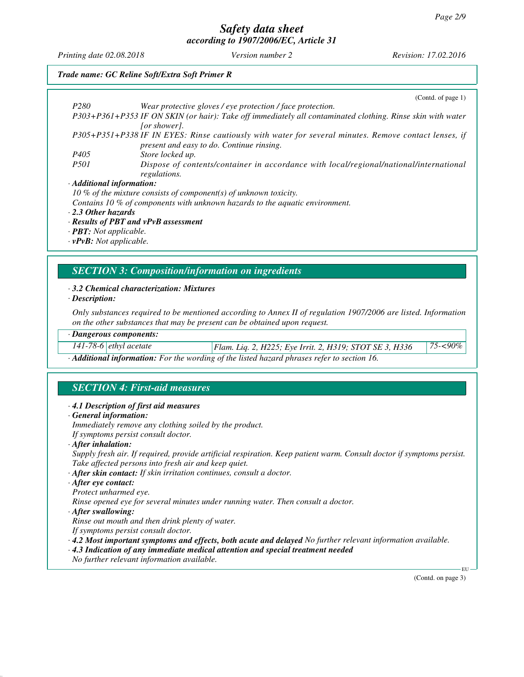*Printing date 02.08.2018 Version number 2 Revision: 17.02.2016*

## *Trade name: GC Reline Soft/Extra Soft Primer R*

|                                 | (Cond. of page 1)                                                                                          |
|---------------------------------|------------------------------------------------------------------------------------------------------------|
| P <sub>280</sub>                | Wear protective gloves / eye protection / face protection.                                                 |
|                                 | P303+P361+P353 IF ON SKIN (or hair): Take off immediately all contaminated clothing. Rinse skin with water |
|                                 | <i>for showerl.</i>                                                                                        |
|                                 | P305+P351+P338 IF IN EYES: Rinse cautiously with water for several minutes. Remove contact lenses, if      |
|                                 | present and easy to do. Continue rinsing.                                                                  |
| P <sub>405</sub>                | Store locked up.                                                                                           |
| <i>P501</i>                     | Dispose of contents/container in accordance with local/regional/national/international<br>regulations.     |
| $\cdot$ Additional information: |                                                                                                            |
|                                 | 10 % of the mixture consists of component(s) of unknown toxicity.                                          |
|                                 | Contains 10 % of components with unknown hazards to the aquatic environment.                               |
| $\cdot$ 2.3 Other hazards       |                                                                                                            |

*· Results of PBT and vPvB assessment*

*· PBT: Not applicable.*

*· vPvB: Not applicable.*

# *SECTION 3: Composition/information on ingredients*

#### *· 3.2 Chemical characterization: Mixtures*

*· Description:*

*Only substances required to be mentioned according to Annex II of regulation 1907/2006 are listed. Information on the other substances that may be present can be obtained upon request.*

#### *· Dangerous components:*

*141-78-6 ethyl acetate Flam. Liq. 2, H225; Eye Irrit. 2, H319; STOT SE 3, H336 75-<90%*

*· Additional information: For the wording of the listed hazard phrases refer to section 16.*

# *SECTION 4: First-aid measures*

#### *· 4.1 Description of first aid measures*

*· General information:*

*Immediately remove any clothing soiled by the product.*

*If symptoms persist consult doctor.*

*· After inhalation:*

*Supply fresh air. If required, provide artificial respiration. Keep patient warm. Consult doctor if symptoms persist. Take affected persons into fresh air and keep quiet.*

*· After skin contact: If skin irritation continues, consult a doctor.*

*· After eye contact:*

*Protect unharmed eye.*

*Rinse opened eye for several minutes under running water. Then consult a doctor.*

*· After swallowing:*

*Rinse out mouth and then drink plenty of water.*

*If symptoms persist consult doctor.*

*· 4.2 Most important symptoms and effects, both acute and delayed No further relevant information available.*

*· 4.3 Indication of any immediate medical attention and special treatment needed*

*No further relevant information available.*

(Contd. on page 3)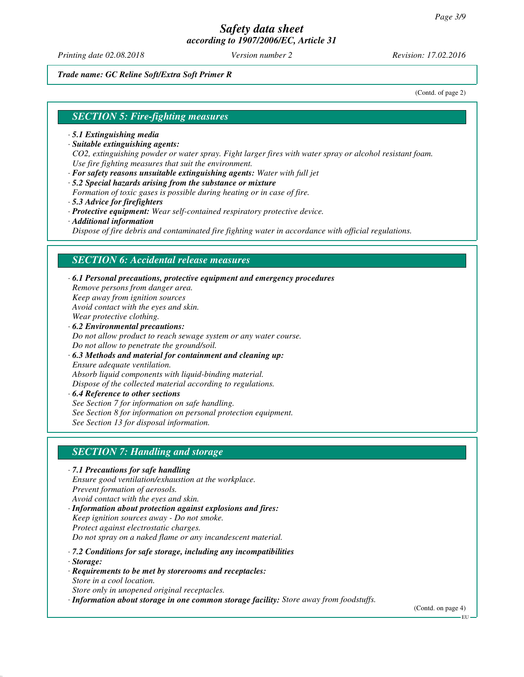*Printing date 02.08.2018 Version number 2 Revision: 17.02.2016*

*Trade name: GC Reline Soft/Extra Soft Primer R*

(Contd. of page 2)

#### *SECTION 5: Fire-fighting measures*

- *· 5.1 Extinguishing media*
- *· Suitable extinguishing agents: CO2, extinguishing powder or water spray. Fight larger fires with water spray or alcohol resistant foam. Use fire fighting measures that suit the environment.*
- *· For safety reasons unsuitable extinguishing agents: Water with full jet*
- *· 5.2 Special hazards arising from the substance or mixture*
- *Formation of toxic gases is possible during heating or in case of fire.*
- *· 5.3 Advice for firefighters*
- *· Protective equipment: Wear self-contained respiratory protective device.*
- *· Additional information*

*Dispose of fire debris and contaminated fire fighting water in accordance with official regulations.*

#### *SECTION 6: Accidental release measures*

- *· 6.1 Personal precautions, protective equipment and emergency procedures Remove persons from danger area. Keep away from ignition sources Avoid contact with the eyes and skin. Wear protective clothing. · 6.2 Environmental precautions:*
- *Do not allow product to reach sewage system or any water course. Do not allow to penetrate the ground/soil.*
- *· 6.3 Methods and material for containment and cleaning up: Ensure adequate ventilation. Absorb liquid components with liquid-binding material. Dispose of the collected material according to regulations.*
- *· 6.4 Reference to other sections See Section 7 for information on safe handling. See Section 8 for information on personal protection equipment. See Section 13 for disposal information.*

# *SECTION 7: Handling and storage*

- *· 7.1 Precautions for safe handling Ensure good ventilation/exhaustion at the workplace. Prevent formation of aerosols. Avoid contact with the eyes and skin. · Information about protection against explosions and fires: Keep ignition sources away - Do not smoke. Protect against electrostatic charges. Do not spray on a naked flame or any incandescent material.*
- *· 7.2 Conditions for safe storage, including any incompatibilities*
- *· Storage:*
- *· Requirements to be met by storerooms and receptacles: Store in a cool location. Store only in unopened original receptacles.*
- *· Information about storage in one common storage facility: Store away from foodstuffs.*

(Contd. on page 4)

EU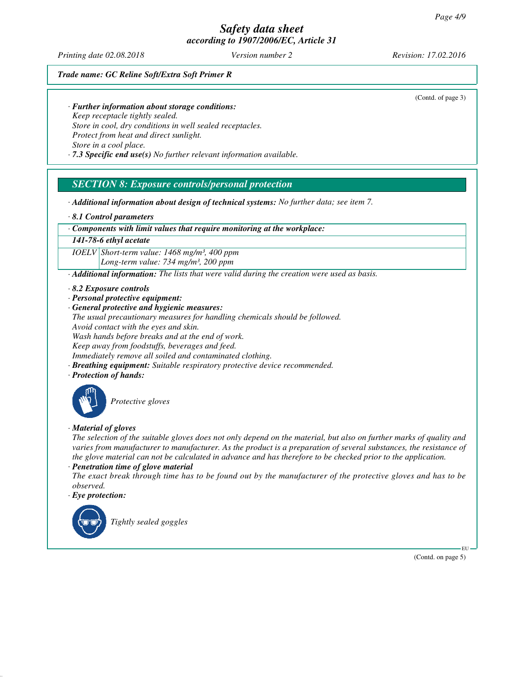*Printing date 02.08.2018 Version number 2 Revision: 17.02.2016*

(Contd. of page 3)

*Trade name: GC Reline Soft/Extra Soft Primer R*

*· Further information about storage conditions:*

*Keep receptacle tightly sealed. Store in cool, dry conditions in well sealed receptacles. Protect from heat and direct sunlight. Store in a cool place.*

*· 7.3 Specific end use(s) No further relevant information available.*

# *SECTION 8: Exposure controls/personal protection*

*· Additional information about design of technical systems: No further data; see item 7.*

*· 8.1 Control parameters*

*· Components with limit values that require monitoring at the workplace:*

*141-78-6 ethyl acetate*

*IOELV Short-term value: 1468 mg/m³, 400 ppm Long-term value: 734 mg/m³, 200 ppm*

*· Additional information: The lists that were valid during the creation were used as basis.*

*· 8.2 Exposure controls*

- *· Personal protective equipment:*
- *· General protective and hygienic measures:*

*The usual precautionary measures for handling chemicals should be followed.*

*Avoid contact with the eyes and skin.*

*Wash hands before breaks and at the end of work.*

*Keep away from foodstuffs, beverages and feed.*

*Immediately remove all soiled and contaminated clothing.*

- *· Breathing equipment: Suitable respiratory protective device recommended.*
- *· Protection of hands:*



*Protective gloves*

### *· Material of gloves*

*The selection of the suitable gloves does not only depend on the material, but also on further marks of quality and varies from manufacturer to manufacturer. As the product is a preparation of several substances, the resistance of the glove material can not be calculated in advance and has therefore to be checked prior to the application.*

*· Penetration time of glove material*

*The exact break through time has to be found out by the manufacturer of the protective gloves and has to be observed.*

*· Eye protection:*



(Contd. on page 5)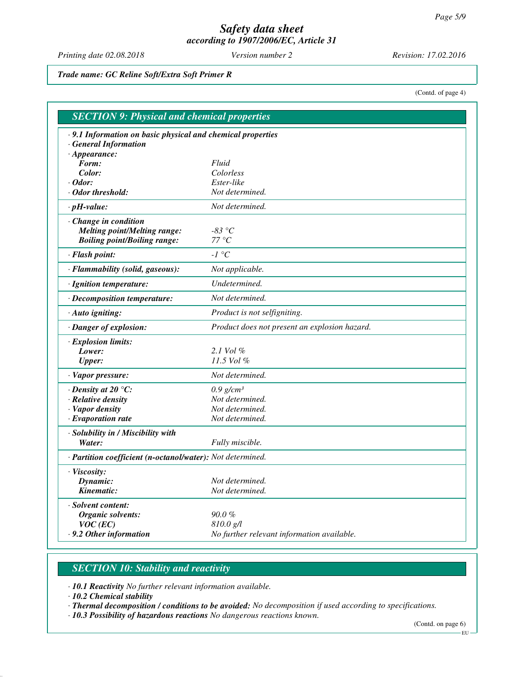*Printing date 02.08.2018 Version number 2 Revision: 17.02.2016*

*Trade name: GC Reline Soft/Extra Soft Primer R*

(Contd. of page 4)

| .9.1 Information on basic physical and chemical properties |                                               |
|------------------------------------------------------------|-----------------------------------------------|
| <b>General Information</b>                                 |                                               |
| $\cdot$ Appearance:                                        |                                               |
| Form:                                                      | Fluid                                         |
| Color:                                                     | Colorless                                     |
| $\cdot$ Odor:                                              | Ester-like                                    |
| · Odor threshold:                                          | Not determined.                               |
| $\cdot$ pH-value:                                          | Not determined.                               |
| Change in condition                                        |                                               |
| <b>Melting point/Melting range:</b>                        | -83 $^{\circ}C$                               |
| <b>Boiling point/Boiling range:</b>                        | $77^{\circ}C$                                 |
| · Flash point:                                             | $-I$ $^{\circ}C$                              |
| · Flammability (solid, gaseous):                           | Not applicable.                               |
| · Ignition temperature:                                    | Undetermined.                                 |
| · Decomposition temperature:                               | Not determined.                               |
| · Auto igniting:                                           | Product is not selfigniting.                  |
| · Danger of explosion:                                     | Product does not present an explosion hazard. |
| · Explosion limits:                                        |                                               |
| Lower:                                                     | 2.1 Vol $\%$                                  |
| <b>Upper:</b>                                              | 11.5 Vol %                                    |
| · Vapor pressure:                                          | Not determined.                               |
| $\cdot$ Density at 20 $\degree$ C:                         | $0.9$ g/cm <sup>3</sup>                       |
| · Relative density                                         | Not determined.                               |
| · Vapor density                                            | Not determined.                               |
| $\cdot$ Evaporation rate                                   | Not determined.                               |
| · Solubility in / Miscibility with                         |                                               |
| Water:                                                     | Fully miscible.                               |
| · Partition coefficient (n-octanol/water): Not determined. |                                               |
| · Viscosity:                                               |                                               |
| Dynamic:                                                   | Not determined.                               |
| Kinematic:                                                 | Not determined.                               |
| · Solvent content:                                         |                                               |
| Organic solvents:                                          | $90.0 \%$                                     |
| $VOC$ (EC)                                                 | 810.0 g/l                                     |
| .9.2 Other information                                     | No further relevant information available.    |

# *SECTION 10: Stability and reactivity*

*· 10.1 Reactivity No further relevant information available.*

*· 10.2 Chemical stability*

*· Thermal decomposition / conditions to be avoided: No decomposition if used according to specifications.*

*· 10.3 Possibility of hazardous reactions No dangerous reactions known.*

(Contd. on page 6)

 $-EU -$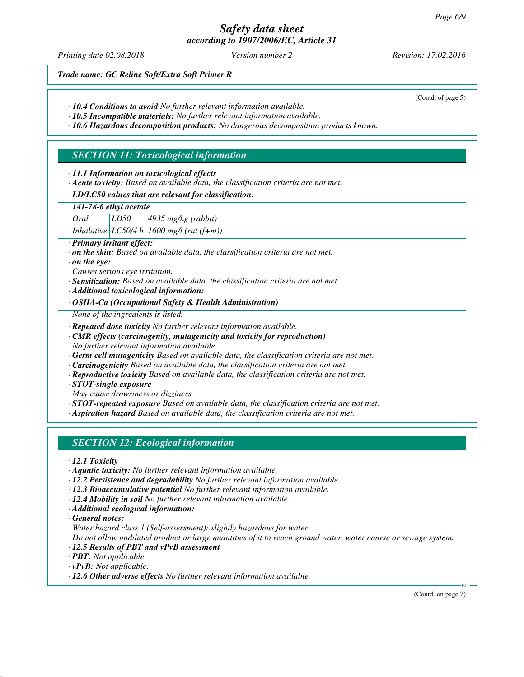*Printing date 02.08.2018 Version number 2 Revision: 17.02.2016*

(Contd. of page 5)

*Trade name: GC Reline Soft/Extra Soft Primer R*

- *· 10.4 Conditions to avoid No further relevant information available.*
- *· 10.5 Incompatible materials: No further relevant information available.*

*· 10.6 Hazardous decomposition products: No dangerous decomposition products known.*

# *SECTION 11: Toxicological information*

*· 11.1 Information on toxicological effects*

*· Acute toxicity: Based on available data, the classification criteria are not met.*

#### *· LD/LC50 values that are relevant for classification:*

#### *141-78-6 ethyl acetate*

*Oral LD50 4935 mg/kg (rabbit)*

*Inhalative LC50/4 h 1600 mg/l (rat (f+m))*

*· Primary irritant effect:*

*· on the skin: Based on available data, the classification criteria are not met.*

*· on the eye:*

*Causes serious eye irritation.*

- *· Sensitization: Based on available data, the classification criteria are not met.*
- *· Additional toxicological information:*

*· OSHA-Ca (Occupational Safety & Health Administration)*

*None of the ingredients is listed.*

*· Repeated dose toxicity No further relevant information available.*

*· CMR effects (carcinogenity, mutagenicity and toxicity for reproduction) No further relevant information available.*

*· Germ cell mutagenicity Based on available data, the classification criteria are not met.*

*· Carcinogenicity Based on available data, the classification criteria are not met.*

*· Reproductive toxicity Based on available data, the classification criteria are not met.*

*· STOT-single exposure*

*May cause drowsiness or dizziness.*

*· STOT-repeated exposure Based on available data, the classification criteria are not met.*

*· Aspiration hazard Based on available data, the classification criteria are not met.*

### *SECTION 12: Ecological information*

*· 12.1 Toxicity*

*· Aquatic toxicity: No further relevant information available.*

*· 12.2 Persistence and degradability No further relevant information available.*

- *· 12.3 Bioaccumulative potential No further relevant information available.*
- *· 12.4 Mobility in soil No further relevant information available.*
- *· Additional ecological information:*

*· General notes:*

*Water hazard class 1 (Self-assessment): slightly hazardous for water*

*Do not allow undiluted product or large quantities of it to reach ground water, water course or sewage system.*

- *· 12.5 Results of PBT and vPvB assessment*
- *· PBT: Not applicable.*
- *· vPvB: Not applicable.*
- *· 12.6 Other adverse effects No further relevant information available.*

(Contd. on page 7)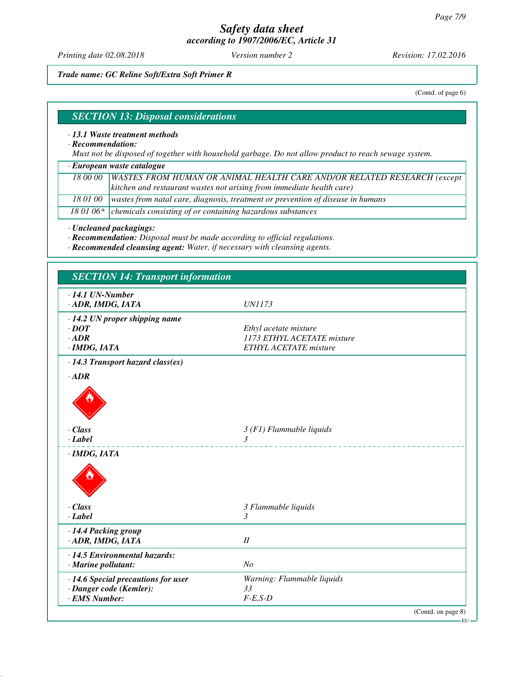*Printing date 02.08.2018 Version number 2 Revision: 17.02.2016*

*Trade name: GC Reline Soft/Extra Soft Primer R*

(Contd. of page 6)

# *SECTION 13: Disposal considerations*

#### *· 13.1 Waste treatment methods*

*· Recommendation:*

*Must not be disposed of together with household garbage. Do not allow product to reach sewage system.*

*· European waste catalogue*

| 18 00 00   WASTES FROM HUMAN OR ANIMAL HEALTH CARE AND/OR RELATED RESEARCH (except |
|------------------------------------------------------------------------------------|
| kitchen and restaurant wastes not arising from immediate health care)              |

*18 01 00 wastes from natal care, diagnosis, treatment or prevention of disease in humans*

*18 01 06\* chemicals consisting of or containing hazardous substances*

*· Uncleaned packagings:*

*· Recommendation: Disposal must be made according to official regulations.*

*· Recommended cleansing agent: Water, if necessary with cleansing agents.*

| $\cdot$ 14.1 UN-Number                                         |                                                     |
|----------------------------------------------------------------|-----------------------------------------------------|
| · ADR, IMDG, IATA                                              | <i>UN1173</i>                                       |
|                                                                |                                                     |
| $\cdot$ 14.2 UN proper shipping name                           |                                                     |
| $\cdot$ <i>DOT</i><br>$\cdot$ ADR                              | Ethyl acetate mixture<br>1173 ETHYL ACETATE mixture |
| $\cdot$ IMDG, IATA                                             | <b>ETHYL ACETATE</b> mixture                        |
|                                                                |                                                     |
| $\cdot$ 14.3 Transport hazard class(es)                        |                                                     |
| $\cdot$ <i>ADR</i>                                             |                                                     |
|                                                                |                                                     |
|                                                                |                                                     |
| · Class                                                        | $3(F1)$ Flammable liquids                           |
| $\cdot$ Label                                                  | $\mathcal{E}$                                       |
| · IMDG, IATA                                                   |                                                     |
|                                                                |                                                     |
|                                                                |                                                     |
| $\cdot$ Class                                                  | 3 Flammable liquids                                 |
| $-Label$                                                       | 3                                                   |
| · 14.4 Packing group                                           |                                                     |
| · ADR, IMDG, IATA                                              | $I\!I$                                              |
| $\cdot$ 14.5 Environmental hazards:                            |                                                     |
| · Marine pollutant:                                            | N <sub>O</sub>                                      |
|                                                                |                                                     |
| · 14.6 Special precautions for user<br>· Danger code (Kemler): | Warning: Flammable liquids<br>33                    |
| · EMS Number:                                                  | $F-E,S-D$                                           |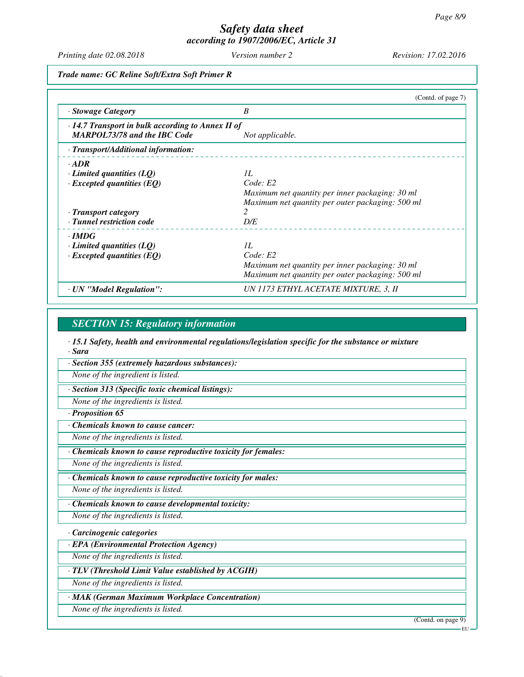*Printing date 02.08.2018 Version number 2 Revision: 17.02.2016*

*Trade name: GC Reline Soft/Extra Soft Primer R*

|                                                                                                | (Contd. of page 7)                               |
|------------------------------------------------------------------------------------------------|--------------------------------------------------|
| · Stowage Category                                                                             | B                                                |
| $\cdot$ 14.7 Transport in bulk according to Annex II of<br><b>MARPOL73/78 and the IBC Code</b> | Not applicable.                                  |
| · Transport/Additional information:                                                            |                                                  |
| $\cdot$ ADR                                                                                    |                                                  |
| $\cdot$ Limited quantities (LQ)                                                                | 1L                                               |
| $\cdot$ Excepted quantities (EQ)                                                               | Code: E2                                         |
|                                                                                                | Maximum net quantity per inner packaging: 30 ml  |
|                                                                                                | Maximum net quantity per outer packaging: 500 ml |
| · Transport category                                                                           |                                                  |
| · Tunnel restriction code                                                                      | D/E                                              |
| $\cdot$ IMDG                                                                                   |                                                  |
| $\cdot$ Limited quantities (LQ)                                                                | 1L                                               |
| $\cdot$ Excepted quantities (EQ)                                                               | Code: E2                                         |
|                                                                                                | Maximum net quantity per inner packaging: 30 ml  |
|                                                                                                | Maximum net quantity per outer packaging: 500 ml |
| · UN "Model Regulation":                                                                       | UN 1173 ETHYL ACETATE MIXTURE, 3, II             |

#### *SECTION 15: Regulatory information*

*· 15.1 Safety, health and environmental regulations/legislation specific for the substance or mixture · Sara*

*· Section 355 (extremely hazardous substances):*

*None of the ingredient is listed.*

*· Section 313 (Specific toxic chemical listings):*

*None of the ingredients is listed.*

*· Proposition 65*

*· Chemicals known to cause cancer:*

*None of the ingredients is listed.*

*· Chemicals known to cause reproductive toxicity for females:*

*None of the ingredients is listed.*

*· Chemicals known to cause reproductive toxicity for males:*

*None of the ingredients is listed.*

*· Chemicals known to cause developmental toxicity:*

*None of the ingredients is listed.*

*· Carcinogenic categories*

*· EPA (Environmental Protection Agency)*

*None of the ingredients is listed.*

*· TLV (Threshold Limit Value established by ACGIH)*

*None of the ingredients is listed.*

*· MAK (German Maximum Workplace Concentration)*

*None of the ingredients is listed.*

(Contd. on page 9)

EU